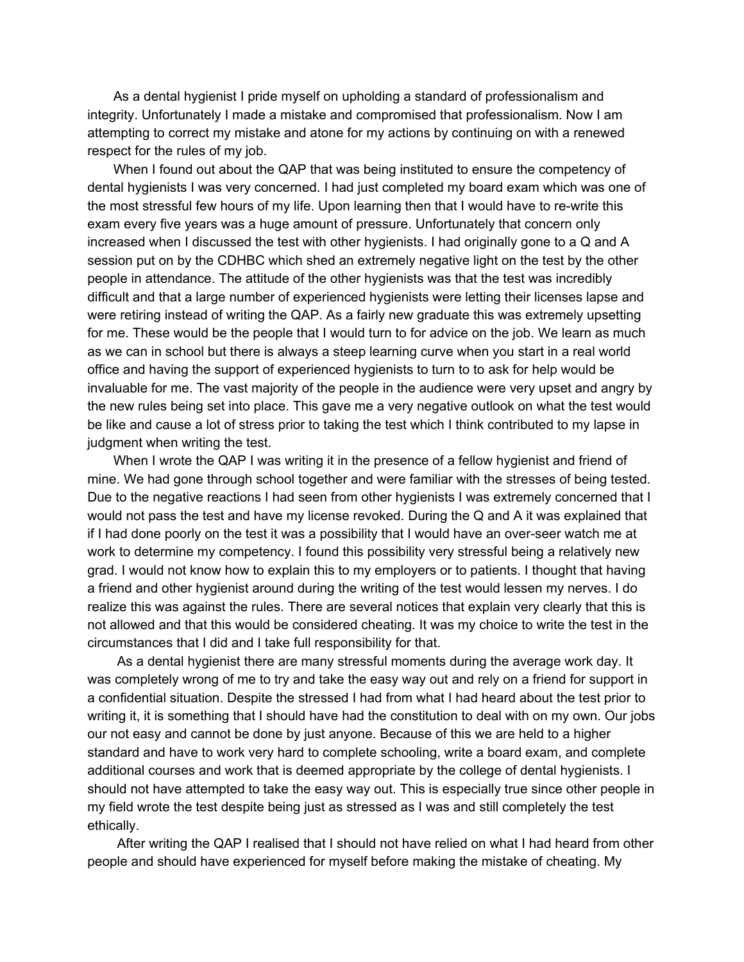As a dental hygienist I pride myself on upholding a standard of professionalism and integrity. Unfortunately I made a mistake and compromised that professionalism. Now I am attempting to correct my mistake and atone for my actions by continuing on with a renewed respect for the rules of my job.

When I found out about the QAP that was being instituted to ensure the competency of dental hygienists I was very concerned. I had just completed my board exam which was one of the most stressful few hours of my life. Upon learning then that I would have to re-write this exam every five years was a huge amount of pressure. Unfortunately that concern only increased when I discussed the test with other hygienists. I had originally gone to a Q and A session put on by the CDHBC which shed an extremely negative light on the test by the other people in attendance. The attitude of the other hygienists was that the test was incredibly difficult and that a large number of experienced hygienists were letting their licenses lapse and were retiring instead of writing the QAP. As a fairly new graduate this was extremely upsetting for me. These would be the people that I would turn to for advice on the job. We learn as much as we can in school but there is always a steep learning curve when you start in a real world office and having the support of experienced hygienists to turn to to ask for help would be invaluable for me. The vast majority of the people in the audience were very upset and angry by the new rules being set into place. This gave me a very negative outlook on what the test would be like and cause a lot of stress prior to taking the test which I think contributed to my lapse in judgment when writing the test.

When I wrote the QAP I was writing it in the presence of a fellow hygienist and friend of mine. We had gone through school together and were familiar with the stresses of being tested. Due to the negative reactions I had seen from other hygienists I was extremely concerned that I would not pass the test and have my license revoked. During the Q and A it was explained that if I had done poorly on the test it was a possibility that I would have an over-seer watch me at work to determine my competency. I found this possibility very stressful being a relatively new grad. I would not know how to explain this to my employers or to patients. I thought that having a friend and other hygienist around during the writing of the test would lessen my nerves. I do realize this was against the rules. There are several notices that explain very clearly that this is not allowed and that this would be considered cheating. It was my choice to write the test in the circumstances that I did and I take full responsibility for that.

As a dental hygienist there are many stressful moments during the average work day. It was completely wrong of me to try and take the easy way out and rely on a friend for support in a confidential situation. Despite the stressed I had from what I had heard about the test prior to writing it, it is something that I should have had the constitution to deal with on my own. Our jobs our not easy and cannot be done by just anyone. Because of this we are held to a higher standard and have to work very hard to complete schooling, write a board exam, and complete additional courses and work that is deemed appropriate by the college of dental hygienists. I should not have attempted to take the easy way out. This is especially true since other people in my field wrote the test despite being just as stressed as I was and still completely the test ethically.

After writing the QAP I realised that I should not have relied on what I had heard from other people and should have experienced for myself before making the mistake of cheating. My